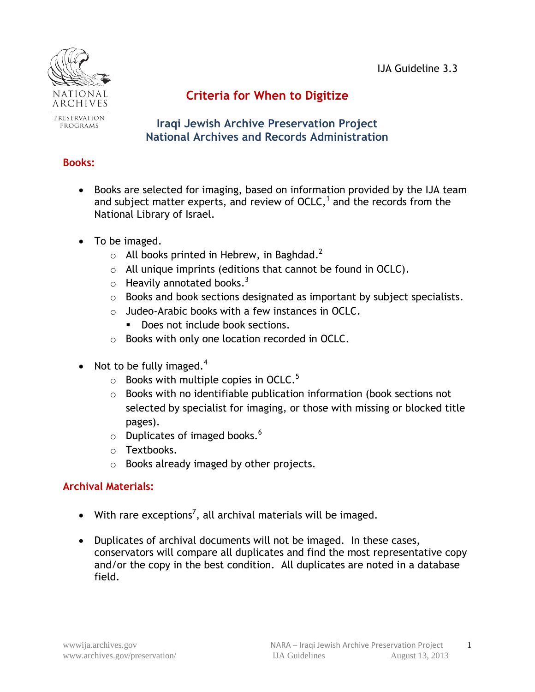

# PROGRAMS

## **Criteria for When to Digitize**

**Iraqi Jewish Archive Preservation Project National Archives and Records Administration**

#### **Books:**

- Books are selected for imaging, based on information provided by the IJA team and subject matter experts, and review of OCLC, $<sup>1</sup>$  and the records from the</sup> National Library of Israel.
- To be imaged.
	- $\circ$  All books printed in Hebrew, in Baghdad.<sup>2</sup>
	- o All unique imprints (editions that cannot be found in OCLC).
	- $\circ$  Heavily annotated books.<sup>3</sup>
	- o Books and book sections designated as important by subject specialists.
	- o Judeo-Arabic books with a few instances in OCLC.
		- Does not include book sections.
	- o Books with only one location recorded in OCLC.
- Not to be fully imaged.<sup>4</sup>
	- $\circ$  Books with multiple copies in OCLC.<sup>5</sup>
	- o Books with no identifiable publication information (book sections not selected by specialist for imaging, or those with missing or blocked title pages).
	- $\circ$  Duplicates of imaged books.<sup>6</sup>
	- o Textbooks.
	- o Books already imaged by other projects.

### **Archival Materials:**

- With rare exceptions<sup>7</sup>, all archival materials will be imaged.
- Duplicates of archival documents will not be imaged. In these cases, conservators will compare all duplicates and find the most representative copy and/or the copy in the best condition. All duplicates are noted in a database field.